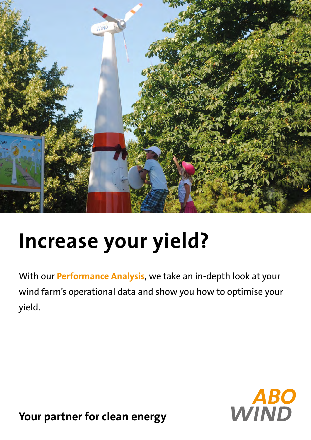

# **Increase your yield?**

With our **Performance Analysis**, we take an in-depth look at your wind farm's operational data and show you how to optimise your yield.



**Your partner for clean energy**